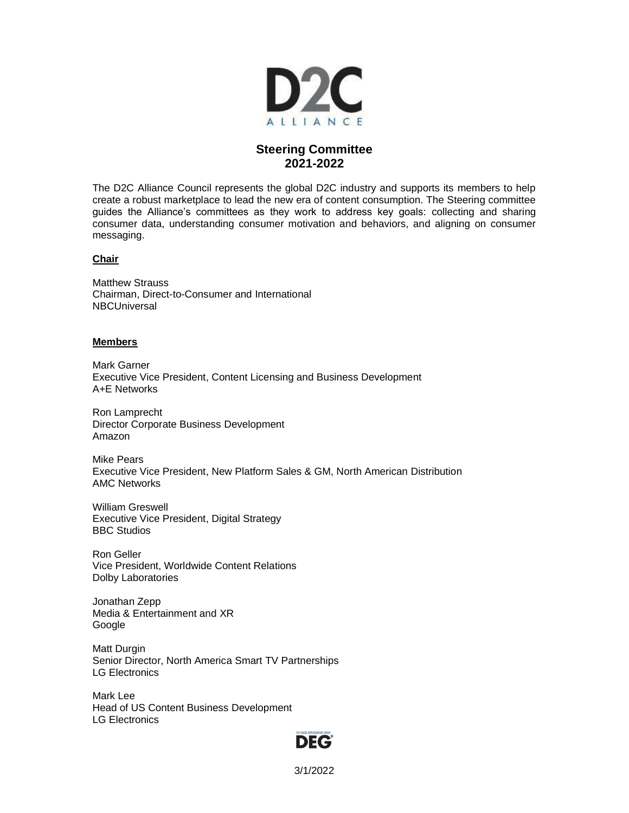

## **Steering Committee 2021-2022**

The D2C Alliance Council represents the global D2C industry and supports its members to help create a robust marketplace to lead the new era of content consumption. The Steering committee guides the Alliance's committees as they work to address key goals: collecting and sharing consumer data, understanding consumer motivation and behaviors, and aligning on consumer messaging.

## **Chair**

Matthew Strauss Chairman, Direct-to-Consumer and International **NBCUniversal** 

## **Members**

Mark Garner Executive Vice President, Content Licensing and Business Development A+E Networks

Ron Lamprecht Director Corporate Business Development Amazon

Mike Pears Executive Vice President, New Platform Sales & GM, North American Distribution AMC Networks

William Greswell Executive Vice President, Digital Strategy BBC Studios

Ron Geller Vice President, Worldwide Content Relations Dolby Laboratories

Jonathan Zepp Media & Entertainment and XR Google

Matt Durgin Senior Director, North America Smart TV Partnerships LG Electronics

Mark Lee Head of US Content Business Development LG Electronics



3/1/2022